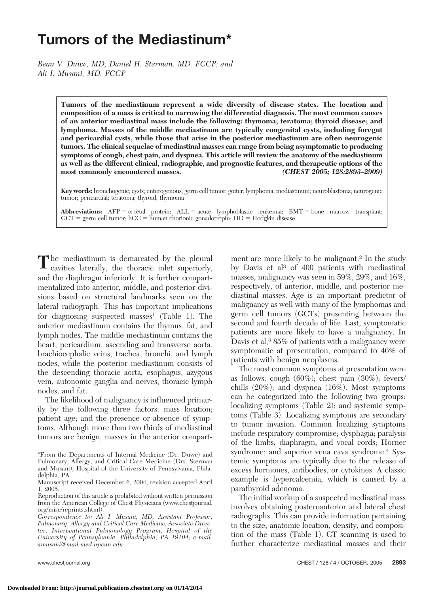# **Tumors of the Mediastinum\***

*Beau V. Duwe, MD; Daniel H. Sterman, MD. FCCP; and Ali I. Musani, MD, FCCP*

> **Tumors of the mediastinum represent a wide diversity of disease states. The location and composition of a mass is critical to narrowing the differential diagnosis. The most common causes of an anterior mediastinal mass include the following: thymoma; teratoma; thyroid disease; and lymphoma. Masses of the middle mediastinum are typically congenital cysts, including foregut and pericardial cysts, while those that arise in the posterior mediastinum are often neurogenic tumors. The clinical sequelae of mediastinal masses can range from being asymptomatic to producing symptoms of cough, chest pain, and dyspnea. This article will review the anatomy of the mediastinum as well as the different clinical, radiographic, and prognostic features, and therapeutic options of the most commonly encountered masses.** *(CHEST 2005; 128:2893–2909)*

> **Key words:** bronchogenic; cysts; enterogenous; germ cell tumor; goiter; lymphoma; mediastinum; neuroblastoma; neurogenic tumor; pericardial; teratoma; thyroid; thymoma

> $\bf{Abbreviations:}$   $\bf{AFP} = \alpha$ -fetal protein;  $\bf{ALL} = \text{acute}$  lymphoblastic leukemia;  $\bf{BMT} = \text{bone}$  marrow transplant;  $GCT =$  germ cell tumor;  $hCG =$  human chorionic gonadotropin;  $HD =$  Hodgkin disease

The mediastinum is demarcated by the pleural cavities laterally, the thoracic inlet superiorly, and the diaphragm inferiorly. It is further compartmentalized into anterior, middle, and posterior divisions based on structural landmarks seen on the lateral radiograph. This has important implications for diagnosing suspected masses<sup>1</sup> (Table 1). The anterior mediastinum contains the thymus, fat, and lymph nodes. The middle mediastinum contains the heart, pericardium, ascending and transverse aorta, brachiocephalic veins, trachea, bronchi, and lymph nodes, while the posterior mediastinum consists of the descending thoracic aorta, esophagus, azygous vein, autonomic ganglia and nerves, thoracic lymph nodes, and fat.

The likelihood of malignancy is influenced primarily by the following three factors: mass location; patient age; and the presence or absence of symptoms. Although more than two thirds of mediastinal tumors are benign, masses in the anterior compart-

ment are more likely to be malignant.<sup>2</sup> In the study by Davis et al3 of 400 patients with mediastinal masses, malignancy was seen in 59%, 29%, and 16%, respectively, of anterior, middle, and posterior mediastinal masses. Age is an important predictor of malignancy as well with many of the lymphomas and germ cell tumors (GCTs) presenting between the second and fourth decade of life. Last, symptomatic patients are more likely to have a malignancy. In Davis et al,<sup>3</sup> 85% of patients with a malignancy were symptomatic at presentation, compared to 46% of patients with benign neoplasms.

The most common symptoms at presentation were as follows: cough (60%); chest pain (30%); fevers/ chills (20%); and dyspnea (16%). Most symptoms can be categorized into the following two groups: localizing symptoms (Table 2); and systemic symptoms (Table 3). Localizing symptoms are secondary to tumor invasion. Common localizing symptoms include respiratory compromise; dysphagia; paralysis of the limbs, diaphragm, and vocal cords; Horner syndrome; and superior vena cava syndrome.4 Systemic symptoms are typically due to the release of excess hormones, antibodies, or cytokines. A classic example is hypercalcemia, which is caused by a parathyroid adenoma.

The initial workup of a suspected mediastinal mass involves obtaining posteroanterior and lateral chest radiographs. This can provide information pertaining to the size, anatomic location, density, and composition of the mass (Table 1). CT scanning is used to further characterize mediastinal masses and their

<sup>\*</sup>From the Departments of Internal Medicine (Dr. Duwe) and Pulmonary, Allergy, and Critical Care Medicine (Drs. Sterman and Musani), Hospital of the University of Pennsylvania, Philadelphia, PA.

Manuscript received December 6, 2004; revision accepted April 1, 2005.

Reproduction of this article is prohibited without written permission from the American College of Chest Physicians (www.chestjournal. org/misc/reprints.shtml).

*Correspondence to: Ali I. Musani, MD, Assistant Professor, Pulmonary, Allergy and Critical Care Medicine, Associate Director, Interventional Pulmonology Program, Hospital of the University of Pennsylvania, Philadelphia, PA 19104; e-mail: amusani@mail.med.upenn.edu*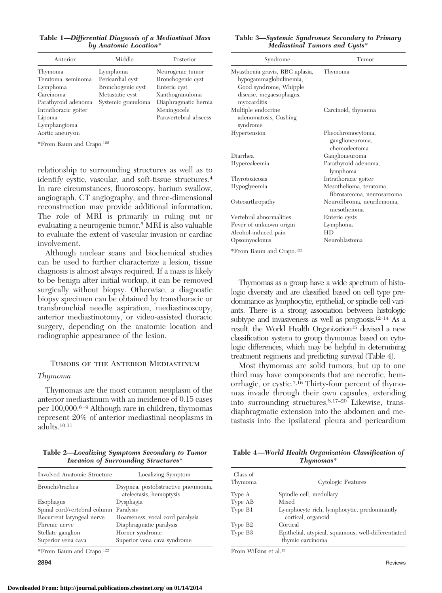**Table 1—***Differential Diagnosis of a Mediastinal Mass by Anatomic Location*\*

| Anterior             | Middle             | Posterior             |
|----------------------|--------------------|-----------------------|
| Thymoma              | Lymphoma           | Neurogenic tumor      |
| Teratoma, seminoma   | Pericardial cyst   | Bronchogenic cyst     |
| Lymphoma             | Bronchogenic cyst  | Enteric cyst          |
| Carcinoma            | Metastatic cyst    | Xanthogranuloma       |
| Parathyroid adenoma  | Systemic granuloma | Diaphragmatic hernia  |
| Intrathoracic goiter |                    | Meningocele           |
| Lipoma               |                    | Paravertebral abscess |
| Lymphangioma         |                    |                       |
| Aortic aneurysm      |                    |                       |

\*From Baum and Crapo.122

relationship to surrounding structures as well as to identify cystic, vascular, and soft-tissue structures.4 In rare circumstances, fluoroscopy, barium swallow, angiograph, CT angiography, and three-dimensional reconstruction may provide additional information. The role of MRI is primarily in ruling out or evaluating a neurogenic tumor.5 MRI is also valuable to evaluate the extent of vascular invasion or cardiac involvement.

Although nuclear scans and biochemical studies can be used to further characterize a lesion, tissue diagnosis is almost always required. If a mass is likely to be benign after initial workup, it can be removed surgically without biopsy. Otherwise, a diagnostic biopsy specimen can be obtained by transthoracic or transbronchial needle aspiration, mediastinoscopy, anterior mediastinotomy, or video-assisted thoracic surgery, depending on the anatomic location and radiographic appearance of the lesion.

### Tumors of the Anterior Mediastinum

#### *Thymoma*

Thymomas are the most common neoplasm of the anterior mediastinum with an incidence of 0.15 cases per 100,000.6 –9 Although rare in children, thymomas represent 20% of anterior mediastinal neoplasms in adults.10,11

**Table 2—***Localizing Symptoms Secondary to Tumor Invasion of Surrounding Structures*\*

| Involved Anatomic Structure  | Localizing Symptom                                             |
|------------------------------|----------------------------------------------------------------|
| Bronchi/trachea              | Dsypnea, postobstructive pneumonia,<br>atelectasis, hemoptysis |
| Esophagus                    | Dysphagia                                                      |
| Spinal cord/vertebral column | Paralysis                                                      |
| Recurrent laryngeal nerve    | Hoarseness, vocal cord paralysis                               |
| Phrenic nerve                | Diaphragmatic paralysis                                        |
| Stellate ganglion            | Horner syndrome                                                |
| Superior vena cava           | Superior vena cava syndrome                                    |

\*From Baum and Crapo.122

**Table 3—***Systemic Syndromes Secondary to Primary Mediastinal Tumors and Cysts*\*

| Syndrome                                                                                                                      | Tumor                                                 |
|-------------------------------------------------------------------------------------------------------------------------------|-------------------------------------------------------|
| Myasthenia gravis, RBC aplasia,<br>hypogammaglobulinemia,<br>Good syndrome, Whipple<br>disease, megaesophagus,<br>myocarditis | Thymoma                                               |
| Multiple endocrine<br>adenomatosis, Cushing<br>syndrome                                                                       | Carcinoid, thymoma                                    |
| Hypertension                                                                                                                  | Pheochromocytoma,<br>ganglioneuroma,<br>chemodectoma  |
| Diarrhea                                                                                                                      | Ganglioneuroma                                        |
| Hypercalcemia                                                                                                                 | Parathyroid adenoma,<br>lymphoma                      |
| Thyrotoxicosis                                                                                                                | Intrathoracic goiter                                  |
| Hypoglycemia                                                                                                                  | Mesothelioma, teratoma,<br>fibrosarcoma, neurosarcoma |
| Osteoarthropathy                                                                                                              | Neurofibroma, neurilemoma,<br>mesotheioma             |
| Vertebral abnormalities                                                                                                       | Enteric cysts                                         |
| Fever of unknown origin                                                                                                       | Lymphoma                                              |
| Alcohol-induced pain                                                                                                          | <b>HD</b>                                             |
| Opsomyoclonus                                                                                                                 | Neuroblastoma                                         |

\*From Baum and Crapo.122

Thymomas as a group have a wide spectrum of histologic diversity and are classified based on cell type predominance as lymphocytic, epithelial, or spindle cell variants. There is a strong association between histologic subtype and invasiveness as well as prognosis.<sup>12-14</sup> As a result, the World Health Organization<sup>15</sup> devised a new classification system to group thymomas based on cytologic differences, which may be helpful in determining treatment regimens and predicting survival (Table 4).

Most thymomas are solid tumors, but up to one third may have components that are necrotic, hemorrhagic, or cystic.7,16 Thirty-four percent of thymomas invade through their own capsules, extending into surrounding structures.8,17–20 Likewise, transdiaphragmatic extension into the abdomen and metastasis into the ipsilateral pleura and pericardium

**Table 4—***World Health Organization Classification of Thymomas*\*

| Class of<br>Thymoma | Cytologic Features                                                      |
|---------------------|-------------------------------------------------------------------------|
| Type A              | Spindle cell, medullary                                                 |
| Type AB             | Mixed                                                                   |
| Type B1             | Lymphocyte rich, lymphocytic, predominantly<br>cortical, organoid       |
| Type B <sub>2</sub> | Cortical                                                                |
| Type B3             | Epithelial, atypical, squamous, well-differentiated<br>thymic carcinoma |

From Wilkins et al.15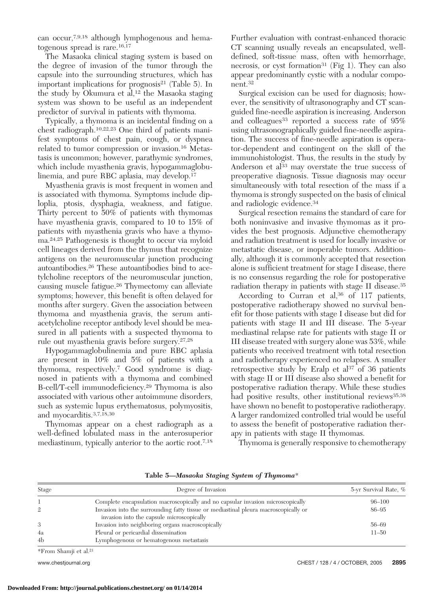can occur,7,9,18 although lymphogenous and hematogenous spread is rare.<sup>16,17</sup>

The Masaoka clinical staging system is based on the degree of invasion of the tumor through the capsule into the surrounding structures, which has important implications for prognosis<sup>21</sup> (Table 5). In the study by Okumura et al,<sup>12</sup> the Masaoka staging system was shown to be useful as an independent predictor of survival in patients with thymoma.

Typically, a thymoma is an incidental finding on a chest radiograph.10,22,23 One third of patients manifest symptoms of chest pain, cough, or dyspnea related to tumor compression or invasion.16 Metastasis is uncommon; however, parathymic syndromes, which include myasthenia gravis, hypogammaglobulinemia, and pure RBC aplasia, may develop.17

Myasthenia gravis is most frequent in women and is associated with thymoma. Symptoms include diploplia, ptosis, dysphagia, weakness, and fatigue. Thirty percent to 50% of patients with thymomas have myasthenia gravis, compared to 10 to 15% of patients with myasthenia gravis who have a thymoma.24,25 Pathogenesis is thought to occur via myloid cell lineages derived from the thymus that recognize antigens on the neuromuscular junction producing autoantibodies.26 These autoantibodies bind to acetylcholine receptors of the neuromuscular junction, causing muscle fatigue.26 Thymectomy can alleviate symptoms; however, this benefit is often delayed for months after surgery. Given the association between thymoma and myasthenia gravis, the serum antiacetylcholine receptor antibody level should be measured in all patients with a suspected thymoma to rule out myasthenia gravis before surgery.27,28

Hypogammaglobulinemia and pure RBC aplasia are present in 10% and 5% of patients with a thymoma, respectively.7 Good syndrome is diagnosed in patients with a thymoma and combined B-cell/T-cell immunodeficiency.29 Thymoma is also associated with various other autoimmune disorders, such as systemic lupus erythematosus, polymyositis, and myocarditis.3,7,18,30

Thymomas appear on a chest radiograph as a well-defined lobulated mass in the anterosuperior mediastinum, typically anterior to the aortic root.7,18

Further evaluation with contrast-enhanced thoracic CT scanning usually reveals an encapsulated, welldefined, soft-tissue mass, often with hemorrhage, necrosis, or cyst formation<sup>31</sup> (Fig 1). They can also appear predominantly cystic with a nodular component.32

Surgical excision can be used for diagnosis; however, the sensitivity of ultrasonography and CT scanguided fine-needle aspiration is increasing. Anderson and colleagues<sup>33</sup> reported a success rate of  $95\%$ using ultrasonographically guided fine-needle aspiration. The success of fine-needle aspiration is operator-dependent and contingent on the skill of the immunohistologist. Thus, the results in the study by Anderson et al<sup>33</sup> may overstate the true success of preoperative diagnosis. Tissue diagnosis may occur simultaneously with total resection of the mass if a thymoma is strongly suspected on the basis of clinical and radiologic evidence.34

Surgical resection remains the standard of care for both noninvasive and invasive thymomas as it provides the best prognosis. Adjunctive chemotherapy and radiation treatment is used for locally invasive or metastatic disease, or inoperable tumors. Additionally, although it is commonly accepted that resection alone is sufficient treatment for stage I disease, there is no consensus regarding the role for postoperative radiation therapy in patients with stage II disease.35

According to Curran et al,<sup>36</sup> of 117 patients, postoperative radiotherapy showed no survival benefit for those patients with stage I disease but did for patients with stage II and III disease. The 5-year mediastinal relapse rate for patients with stage II or III disease treated with surgery alone was 53%, while patients who received treatment with total resection and radiotherapy experienced no relapses. A smaller retrospective study by Eralp et al<sup>37</sup> of 36 patients with stage II or III disease also showed a benefit for postoperative radiation therapy. While these studies had positive results, other institutional reviews<sup>35,38</sup> have shown no benefit to postoperative radiotherapy. A larger randomized controlled trial would be useful to assess the benefit of postoperative radiation therapy in patients with stage II thymomas.

Thymoma is generally responsive to chemotherapy

| Stage          | Degree of Invasion                                                                                                               | 5-yr Survival Rate, % |
|----------------|----------------------------------------------------------------------------------------------------------------------------------|-----------------------|
|                | Complete encapsulation macroscopically and no capsular invasion microscopically                                                  | $96 - 100$            |
| $\mathbf{2}$   | Invasion into the surrounding fatty tissue or mediastinal pleura macroscopically or<br>invasion into the capsule microscopically | 86-95                 |
| 3              | Invasion into neighboring organs macroscopically                                                                                 | 56-69                 |
| 4a             | Pleural or pericardial dissemination                                                                                             | $11 - 50$             |
| 4 <sub>b</sub> | Lymphogenous or hematogenous metastasis                                                                                          |                       |

**Table 5—***Masaoka Staging System of Thymoma*\*

\*From Shamji et al.21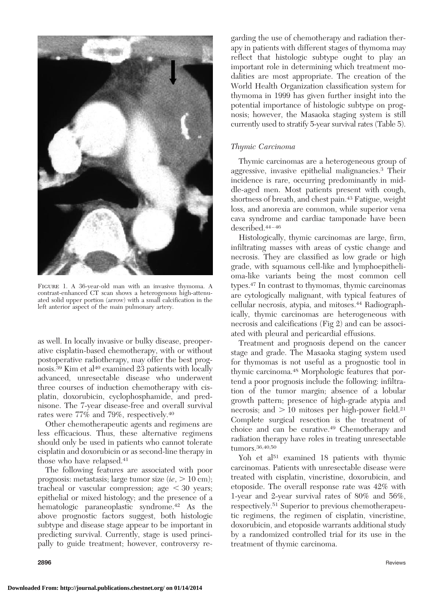

Figure 1. A 36-year-old man with an invasive thymoma. A contrast-enhanced CT scan shows a heterogenous high-attenuated solid upper portion (arrow) with a small calcification in the left anterior aspect of the main pulmonary artery.

as well. In locally invasive or bulky disease, preoperative cisplatin-based chemotherapy, with or without postoperative radiotherapy, may offer the best prognosis.<sup>39</sup> Kim et al<sup>40</sup> examined 23 patients with locally advanced, unresectable disease who underwent three courses of induction chemotherapy with cisplatin, doxorubicin, cyclophosphamide, and prednisone. The 7-year disease-free and overall survival rates were 77% and 79%, respectively.40

Other chemotherapeutic agents and regimens are less efficacious. Thus, these alternative regimens should only be used in patients who cannot tolerate cisplatin and doxorubicin or as second-line therapy in those who have relapsed.41

The following features are associated with poor prognosis: metastasis; large tumor size  $(i\epsilon, > 10 \text{ cm})$ ; tracheal or vascular compression; age  $\leq 30$  years; epithelial or mixed histology; and the presence of a hematologic paraneoplastic syndrome.<sup>42</sup> As the above prognostic factors suggest, both histologic subtype and disease stage appear to be important in predicting survival. Currently, stage is used principally to guide treatment; however, controversy re-

garding the use of chemotherapy and radiation therapy in patients with different stages of thymoma may reflect that histologic subtype ought to play an important role in determining which treatment modalities are most appropriate. The creation of the World Health Organization classification system for thymoma in 1999 has given further insight into the potential importance of histologic subtype on prognosis; however, the Masaoka staging system is still currently used to stratify 5-year survival rates (Table 5).

### *Thymic Carcinoma*

Thymic carcinomas are a heterogeneous group of aggressive, invasive epithelial malignancies.3 Their incidence is rare, occurring predominantly in middle-aged men. Most patients present with cough, shortness of breath, and chest pain.43 Fatigue, weight loss, and anorexia are common, while superior vena cava syndrome and cardiac tamponade have been described.44 – 46

Histologically, thymic carcinomas are large, firm, infiltrating masses with areas of cystic change and necrosis. They are classified as low grade or high grade, with squamous cell-like and lymphoepithelioma-like variants being the most common cell types.47 In contrast to thymomas, thymic carcinomas are cytologically malignant, with typical features of cellular necrosis, atypia, and mitoses.44 Radiographically, thymic carcinomas are heterogeneous with necrosis and calcifications (Fig 2) and can be associated with pleural and pericardial effusions.

Treatment and prognosis depend on the cancer stage and grade. The Masaoka staging system used for thymomas is not useful as a prognostic tool in thymic carcinoma.48 Morphologic features that portend a poor prognosis include the following: infiltration of the tumor margin; absence of a lobular growth pattern; presence of high-grade atypia and necrosis; and  $> 10$  mitoses per high-power field.<sup>21</sup> Complete surgical resection is the treatment of choice and can be curative.49 Chemotherapy and radiation therapy have roles in treating unresectable tumors.36,40,50

Yoh et al<sup>51</sup> examined 18 patients with thymic carcinomas. Patients with unresectable disease were treated with cisplatin, vincristine, doxorubicin, and etoposide. The overall response rate was 42% with 1-year and 2-year survival rates of 80% and 56%, respectively.51 Superior to previous chemotherapeutic regimens, the regimen of cisplatin, vincristine, doxorubicin, and etoposide warrants additional study by a randomized controlled trial for its use in the treatment of thymic carcinoma.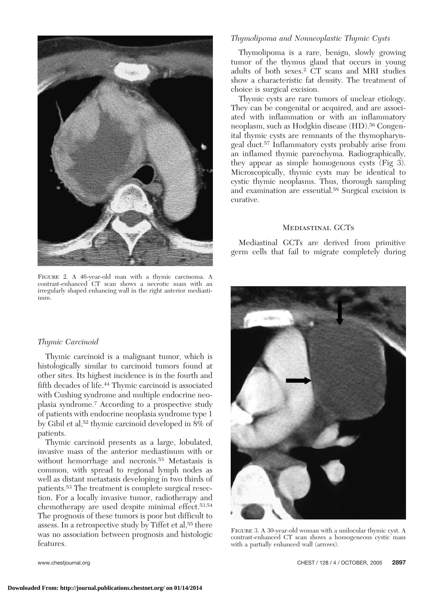

FIGURE 2. A 46-year-old man with a thymic carcinoma. A contrast-enhanced CT scan shows a necrotic mass with an irregularly shaped enhancing wall in the right anterior mediastinum.

# *Thymolipoma and Nonneoplastic Thymic Cysts*

Thymolipoma is a rare, benign, slowly growing tumor of the thymus gland that occurs in young adults of both sexes.2 CT scans and MRI studies show a characteristic fat density. The treatment of choice is surgical excision.

Thymic cysts are rare tumors of unclear etiology. They can be congenital or acquired, and are associated with inflammation or with an inflammatory neoplasm, such as Hodgkin disease (HD).56 Congenital thymic cysts are remnants of the thymopharyngeal duct.57 Inflammatory cysts probably arise from an inflamed thymic parenchyma. Radiographically, they appear as simple homogenous cysts (Fig 3). Microscopically, thymic cysts may be identical to cystic thymic neoplasms. Thus, thorough sampling and examination are essential.58 Surgical excision is curative.

### Mediastinal GCTs

Mediastinal GCTs are derived from primitive germ cells that fail to migrate completely during

### *Thymic Carcinoid*

Thymic carcinoid is a malignant tumor, which is histologically similar to carcinoid tumors found at other sites. Its highest incidence is in the fourth and fifth decades of life.44 Thymic carcinoid is associated with Cushing syndrome and multiple endocrine neoplasia syndrome.7 According to a prospective study of patients with endocrine neoplasia syndrome type 1 by Gibil et al,52 thymic carcinoid developed in 8% of patients.

Thymic carcinoid presents as a large, lobulated, invasive mass of the anterior mediastinum with or without hemorrhage and necrosis.53 Metastasis is common, with spread to regional lymph nodes as well as distant metastasis developing in two thirds of patients.53 The treatment is complete surgical resection. For a locally invasive tumor, radiotherapy and chemotherapy are used despite minimal effect.53,54 The prognosis of these tumors is poor but difficult to assess. In a retrospective study by Tiffet et al,<sup>55</sup> there was no association between prognosis and histologic features.



Figure 3. A 30-year-old woman with a unilocular thymic cyst. A contrast-enhanced CT scan shows a homogeneous cystic mass with a partially enhanced wall (arrows).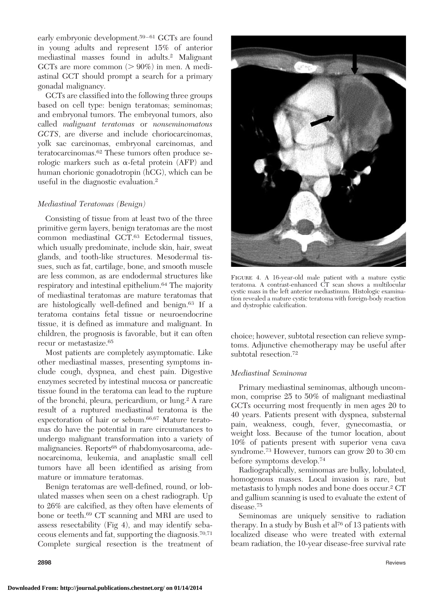early embryonic development.<sup>59-61</sup> GCTs are found in young adults and represent 15% of anterior mediastinal masses found in adults.2 Malignant GCTs are more common  $(>90\%)$  in men. A mediastinal GCT should prompt a search for a primary gonadal malignancy.

GCTs are classified into the following three groups based on cell type: benign teratomas; seminomas; and embryonal tumors. The embryonal tumors, also called *malignant teratomas* or *nonseminomatous GCTS*, are diverse and include choriocarcinomas, yolk sac carcinomas, embryonal carcinomas, and teratocarcinomas.62 These tumors often produce serologic markers such as  $\alpha$ -fetal protein (AFP) and human chorionic gonadotropin (hCG), which can be useful in the diagnostic evaluation.2

# *Mediastinal Teratomas (Benign)*

Consisting of tissue from at least two of the three primitive germ layers, benign teratomas are the most common mediastinal GCT.63 Ectodermal tissues, which usually predominate, include skin, hair, sweat glands, and tooth-like structures. Mesodermal tissues, such as fat, cartilage, bone, and smooth muscle are less common, as are endodermal structures like respiratory and intestinal epithelium.64 The majority of mediastinal teratomas are mature teratomas that are histologically well-defined and benign.63 If a teratoma contains fetal tissue or neuroendocrine tissue, it is defined as immature and malignant. In children, the prognosis is favorable, but it can often recur or metastasize.65

Most patients are completely asymptomatic. Like other mediastinal masses, presenting symptoms include cough, dyspnea, and chest pain. Digestive enzymes secreted by intestinal mucosa or pancreatic tissue found in the teratoma can lead to the rupture of the bronchi, pleura, pericardium, or lung.2 A rare result of a ruptured mediastinal teratoma is the expectoration of hair or sebum.66,67 Mature teratomas do have the potential in rare circumstances to undergo malignant transformation into a variety of malignancies. Reports<sup>68</sup> of rhabdomyosarcoma, adenocarcinoma, leukemia, and anaplastic small cell tumors have all been identified as arising from mature or immature teratomas.

Benign teratomas are well-defined, round, or lobulated masses when seen on a chest radiograph. Up to 26% are calcified, as they often have elements of bone or teeth.69 CT scanning and MRI are used to assess resectability (Fig 4), and may identify sebaceous elements and fat, supporting the diagnosis.70,71 Complete surgical resection is the treatment of



Figure 4. A 16-year-old male patient with a mature cystic teratoma. A contrast-enhanced CT scan shows a multilocular cystic mass in the left anterior mediastinum. Histologic examination revealed a mature cystic teratoma with foreign-body reaction and dystrophic calcification.

choice; however, subtotal resection can relieve symptoms. Adjunctive chemotherapy may be useful after subtotal resection.72

### *Mediastinal Seminoma*

Primary mediastinal seminomas, although uncommon, comprise 25 to 50% of malignant mediastinal GCTs occurring most frequently in men ages 20 to 40 years. Patients present with dyspnea, substernal pain, weakness, cough, fever, gynecomastia, or weight loss. Because of the tumor location, about 10% of patients present with superior vena cava syndrome.73 However, tumors can grow 20 to 30 cm before symptoms develop.74

Radiographically, seminomas are bulky, lobulated, homogenous masses. Local invasion is rare, but metastasis to lymph nodes and bone does occur.2 CT and gallium scanning is used to evaluate the extent of disease.75

Seminomas are uniquely sensitive to radiation therapy. In a study by Bush et al<sup>76</sup> of 13 patients with localized disease who were treated with external beam radiation, the 10-year disease-free survival rate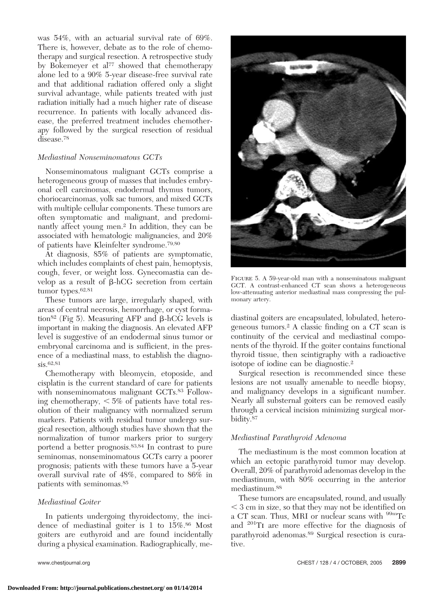was 54%, with an actuarial survival rate of 69%. There is, however, debate as to the role of chemotherapy and surgical resection. A retrospective study by Bokemeyer et al<sup>77</sup> showed that chemotherapy alone led to a 90% 5-year disease-free survival rate and that additional radiation offered only a slight survival advantage, while patients treated with just radiation initially had a much higher rate of disease recurrence. In patients with locally advanced disease, the preferred treatment includes chemotherapy followed by the surgical resection of residual disease.78

# *Mediastinal Nonseminomatous GCTs*

Nonseminomatous malignant GCTs comprise a heterogeneous group of masses that includes embryonal cell carcinomas, endodermal thymus tumors, choriocarcinomas, yolk sac tumors, and mixed GCTs with multiple cellular components. These tumors are often symptomatic and malignant, and predominantly affect young men.2 In addition, they can be associated with hematologic malignancies, and 20% of patients have Kleinfelter syndrome.79,80

At diagnosis, 85% of patients are symptomatic, which includes complaints of chest pain, hemoptysis, cough, fever, or weight loss. Gynecomastia can develop as a result of  $\beta$ -hCG secretion from certain tumor types.<sup>62,81</sup>

These tumors are large, irregularly shaped, with areas of central necrosis, hemorrhage, or cyst formation<sup>82</sup> (Fig 5). Measuring AFP and  $\beta$ -hCG levels is important in making the diagnosis. An elevated AFP level is suggestive of an endodermal sinus tumor or embryonal carcinoma and is sufficient, in the presence of a mediastinal mass, to establish the diagnosis.62,81

Chemotherapy with bleomycin, etoposide, and cisplatin is the current standard of care for patients with nonseminomatous malignant GCTs.<sup>83</sup> Following chemotherapy,  $< 5\%$  of patients have total resolution of their malignancy with normalized serum markers. Patients with residual tumor undergo surgical resection, although studies have shown that the normalization of tumor markers prior to surgery portend a better prognosis.83,84 In contrast to pure seminomas, nonseminomatous GCTs carry a poorer prognosis; patients with these tumors have a 5-year overall survival rate of 48%, compared to 86% in patients with seminomas.85

# *Mediastinal Goiter*

In patients undergoing thyroidectomy, the incidence of mediastinal goiter is 1 to 15%.<sup>86</sup> Most goiters are euthyroid and are found incidentally during a physical examination. Radiographically, me-



Figure 5. A 59-year-old man with a nonseminatous malignant GCT. A contrast-enhanced CT scan shows a heterogeneous low-attenuating anterior mediastinal mass compressing the pulmonary artery.

diastinal goiters are encapsulated, lobulated, heterogeneous tumors.2 A classic finding on a CT scan is continuity of the cervical and mediastinal components of the thyroid. If the goiter contains functional thyroid tissue, then scintigraphy with a radioactive isotope of iodine can be diagnostic.2

Surgical resection is recommended since these lesions are not usually amenable to needle biopsy, and malignancy develops in a significant number. Nearly all substernal goiters can be removed easily through a cervical incision minimizing surgical morbidity.87

# *Mediastinal Parathyroid Adenoma*

The mediastinum is the most common location at which an ectopic parathyroid tumor may develop. Overall, 20% of parathyroid adenomas develop in the mediastinum, with 80% occurring in the anterior mediastinum.88

These tumors are encapsulated, round, and usually 3 cm in size, so that they may not be identified on a CT scan. Thus, MRI or nuclear scans with <sup>99m</sup>Tc and 201Ti are more effective for the diagnosis of parathyroid adenomas.89 Surgical resection is curative.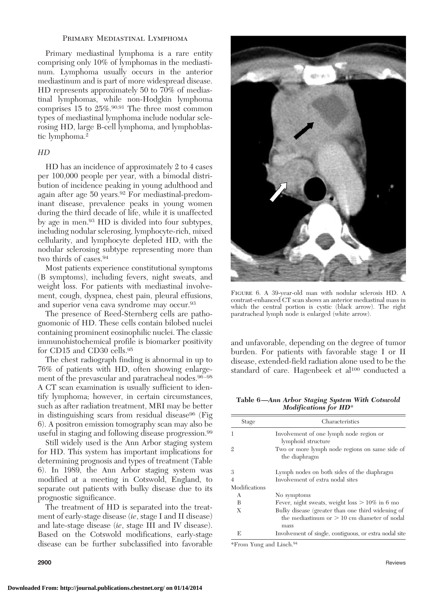### PRIMARY MEDIASTINAL LYMPHOMA

Primary mediastinal lymphoma is a rare entity comprising only 10% of lymphomas in the mediastinum. Lymphoma usually occurs in the anterior mediastinum and is part of more widespread disease. HD represents approximately 50 to 70% of mediastinal lymphomas, while non-Hodgkin lymphoma comprises 15 to 25%.90,91 The three most common types of mediastinal lymphoma include nodular sclerosing HD, large B-cell lymphoma, and lymphoblastic lymphoma.2

### *HD*

HD has an incidence of approximately 2 to 4 cases per 100,000 people per year, with a bimodal distribution of incidence peaking in young adulthood and again after age 50 years.92 For mediastinal-predominant disease, prevalence peaks in young women during the third decade of life, while it is unaffected by age in men.93 HD is divided into four subtypes, including nodular sclerosing, lymphocyte-rich, mixed cellularity, and lymphocyte depleted HD, with the nodular sclerosing subtype representing more than two thirds of cases.94

Most patients experience constitutional symptoms (B symptoms), including fevers, night sweats, and weight loss. For patients with mediastinal involvement, cough, dyspnea, chest pain, pleural effusions, and superior vena cava syndrome may occur.93

The presence of Reed-Sternberg cells are pathognomonic of HD. These cells contain bilobed nuclei containing prominent eosinophilic nuclei. The classic immunohistochemical profile is biomarker positivity for CD15 and CD30 cells.<sup>95</sup>

The chest radiograph finding is abnormal in up to 76% of patients with HD, often showing enlargement of the prevascular and paratracheal nodes.<sup>96-98</sup> A CT scan examination is usually sufficient to identify lymphoma; however, in certain circumstances, such as after radiation treatment, MRI may be better in distinguishing scars from residual disease<sup>96</sup> (Fig. 6). A positron emission tomography scan may also be useful in staging and following disease progression.99

Still widely used is the Ann Arbor staging system for HD. This system has important implications for determining prognosis and types of treatment (Table 6). In 1989, the Ann Arbor staging system was modified at a meeting in Cotswold, England, to separate out patients with bulky disease due to its prognostic significance.

The treatment of HD is separated into the treatment of early-stage disease (*ie*, stage I and II disease) and late-stage disease (*ie*, stage III and IV disease). Based on the Cotswold modifications, early-stage disease can be further subclassified into favorable



Figure 6. A 39-year-old man with nodular sclerosis HD. A contrast-enhanced CT scan shows an anterior mediastinal mass in which the central portion is cystic (black arrow). The right paratracheal lymph node is enlarged (white arrow).

and unfavorable, depending on the degree of tumor burden. For patients with favorable stage I or II disease, extended-field radiation alone used to be the standard of care. Hagenbeek et al<sup>100</sup> conducted a

**Table 6—***Ann Arbor Staging System With Cotswold Modifications for HD*\*

| Stage          | Characteristics                                                                                             |
|----------------|-------------------------------------------------------------------------------------------------------------|
| 1              | Involvement of one lymph node region or<br>lymphoid structure                                               |
| $\mathfrak{2}$ | Two or more lymph node regions on same side of<br>the diaphragm                                             |
| 3              | Lymph nodes on both sides of the diaphragm                                                                  |
| $\overline{4}$ | Involvement of extra nodal sites                                                                            |
| Modifications  |                                                                                                             |
| A              | No symptoms                                                                                                 |
| B              | Fever, night sweats, weight $loss > 10\%$ in 6 mo                                                           |
| X              | Bulky disease (greater than one third widening of<br>the mediastinum or $> 10$ cm diameter of nodal<br>mass |
| E              | Involvement of single, contiguous, or extra nodal site                                                      |

\*From Yung and Linch.94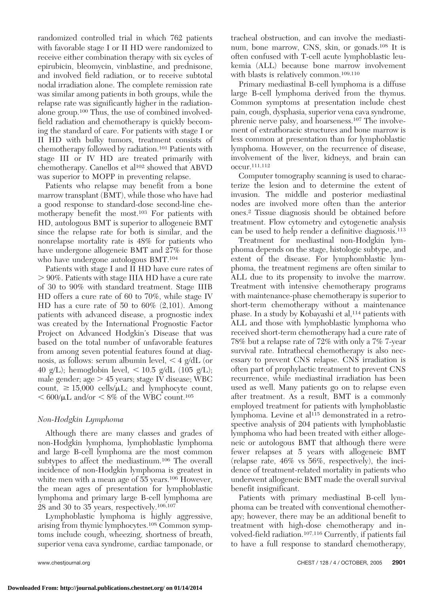randomized controlled trial in which 762 patients with favorable stage I or II HD were randomized to receive either combination therapy with six cycles of epirubicin, bleomycin, vinblastine, and prednisone, and involved field radiation, or to receive subtotal nodal irradiation alone. The complete remission rate was similar among patients in both groups, while the relapse rate was significantly higher in the radiationalone group.100 Thus, the use of combined involvedfield radiation and chemotherapy is quickly becoming the standard of care. For patients with stage I or II HD with bulky tumors, treatment consists of chemotherapy followed by radiation.101 Patients with stage III or IV HD are treated primarily with chemotherapy. Canellos et al102 showed that ABVD was superior to MOPP in preventing relapse.

Patients who relapse may benefit from a bone marrow transplant (BMT), while those who have had a good response to standard-dose second-line chemotherapy benefit the most.103 For patients with HD, autologous BMT is superior to allogeneic BMT since the relapse rate for both is similar, and the nonrelapse mortality rate is 48% for patients who have undergone allogeneic BMT and 27% for those who have undergone autologous BMT.<sup>104</sup>

Patients with stage I and II HD have cure rates of 90%. Patients with stage IIIA HD have a cure rate of 30 to 90% with standard treatment. Stage IIIB HD offers a cure rate of 60 to 70%, while stage IV HD has a cure rate of 50 to 60% (2,101). Among patients with advanced disease, a prognostic index was created by the International Prognostic Factor Project on Advanced Hodgkin's Disease that was based on the total number of unfavorable features from among seven potential features found at diagnosis, as follows: serum albumin level,  $\leq 4$  g/dL (or 40 g/L); hemoglobin level,  $\langle 10.5 \text{ g/dL} (105 \text{ g/L})$ ; male gender;  $\text{age} > 45$  years; stage IV disease; WBC count,  $\geq 15,000$  cells/ $\mu$ L; and lymphocyte count,  $< 600/\mu L$  and/or  $< 8\%$  of the WBC count.<sup>105</sup>

# *Non-Hodgkin Lymphoma*

Although there are many classes and grades of non-Hodgkin lymphoma, lymphoblastic lymphoma and large B-cell lymphoma are the most common subtypes to affect the mediastinum.106 The overall incidence of non-Hodgkin lymphoma is greatest in white men with a mean age of 55 years.<sup>106</sup> However, the mean ages of presentation for lymphoblastic lymphoma and primary large B-cell lymphoma are 28 and 30 to 35 years, respectively.106,107

Lymphoblastic lymphoma is highly aggressive, arising from thymic lymphocytes.108 Common symptoms include cough, wheezing, shortness of breath, superior vena cava syndrome, cardiac tamponade, or

tracheal obstruction, and can involve the mediastinum, bone marrow, CNS, skin, or gonads.<sup>108</sup> It is often confused with T-cell acute lymphoblastic leukemia (ALL) because bone marrow involvement with blasts is relatively common.<sup>109,110</sup>

Primary mediastinal B-cell lymphoma is a diffuse large B-cell lymphoma derived from the thymus. Common symptoms at presentation include chest pain, cough, dysphasia, superior vena cava syndrome, phrenic nerve palsy, and hoarseness.107 The involvement of extrathoracic structures and bone marrow is less common at presentation than for lymphoblastic lymphoma. However, on the recurrence of disease, involvement of the liver, kidneys, and brain can occur.111,112

Computer tomography scanning is used to characterize the lesion and to determine the extent of invasion. The middle and posterior mediastinal nodes are involved more often than the anterior ones.2 Tissue diagnosis should be obtained before treatment. Flow cytometry and cytogenetic analysis can be used to help render a definitive diagnosis.113

Treatment for mediastinal non-Hodgkin lymphoma depends on the stage, histologic subtype, and extent of the disease. For lymphomblastic lymphoma, the treatment regimens are often similar to ALL due to its propensity to involve the marrow. Treatment with intensive chemotherapy programs with maintenance-phase chemotherapy is superior to short-term chemotherapy without a maintenance phase. In a study by Kobayashi et al,<sup>114</sup> patients with ALL and those with lymphoblastic lymphoma who received short-term chemotherapy had a cure rate of 78% but a relapse rate of 72% with only a 7% 7-year survival rate. Intrathecal chemotherapy is also necessary to prevent CNS relapse. CNS irradiation is often part of prophylactic treatment to prevent CNS recurrence, while mediastinal irradiation has been used as well. Many patients go on to relapse even after treatment. As a result, BMT is a commonly employed treatment for patients with lymphoblastic lymphoma. Levine et al<sup>115</sup> demonstrated in a retrospective analysis of 204 patients with lymphoblastic lymphoma who had been treated with either allogeneic or autologous BMT that although there were fewer relapses at 5 years with allogeneic BMT (relapse rate, 46% vs 56%, respectively), the incidence of treatment-related mortality in patients who underwent allogeneic BMT made the overall survival benefit insignificant.

Patients with primary mediastinal B-cell lymphoma can be treated with conventional chemotherapy; however, there may be an additional benefit to treatment with high-dose chemotherapy and involved-field radiation.107,116 Currently, if patients fail to have a full response to standard chemotherapy,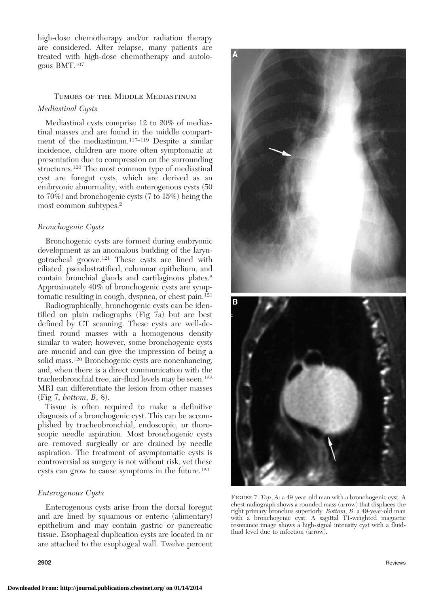high-dose chemotherapy and/or radiation therapy are considered. After relapse, many patients are treated with high-dose chemotherapy and autologous BMT.107

# Tumors of the Middle Mediastinum *Mediastinal Cysts*

Mediastinal cysts comprise 12 to 20% of mediastinal masses and are found in the middle compartment of the mediastinum.117–119 Despite a similar incidence, children are more often symptomatic at presentation due to compression on the surrounding structures.120 The most common type of mediastinal cyst are foregut cysts, which are derived as an embryonic abnormality, with enterogenous cysts (50 to 70%) and bronchogenic cysts (7 to 15%) being the most common subtypes.2

# *Bronchogenic Cysts*

Bronchogenic cysts are formed during embryonic development as an anomalous budding of the laryngotracheal groove.121 These cysts are lined with ciliated, pseudostratified, columnar epithelium, and contain bronchial glands and cartilaginous plates.2 Approximately 40% of bronchogenic cysts are symptomatic resulting in cough, dyspnea, or chest pain.121

Radiographically, bronchogenic cysts can be identified on plain radiographs (Fig 7a) but are best defined by CT scanning. These cysts are well-defined round masses with a homogenous density similar to water; however, some bronchogenic cysts are mucoid and can give the impression of being a solid mass.120 Bronchogenic cysts are nonenhancing, and, when there is a direct communication with the tracheobronchial tree, air-fluid levels may be seen.122 MRI can differentiate the lesion from other masses (Fig 7, *bottom*, *B*, 8).

Tissue is often required to make a definitive diagnosis of a bronchogenic cyst. This can be accomplished by tracheobronchial, endoscopic, or thoroscopic needle aspiration. Most bronchogenic cysts are removed surgically or are drained by needle aspiration. The treatment of asymptomatic cysts is controversial as surgery is not without risk, yet these cysts can grow to cause symptoms in the future.123

### *Enterogenous Cysts*

Enterogenous cysts arise from the dorsal foregut and are lined by squamous or enteric (alimentary) epithelium and may contain gastric or pancreatic tissue. Esophageal duplication cysts are located in or are attached to the esophageal wall. Twelve percent



Figure 7. *Top*, *A*: a 49-year-old man with a bronchogenic cyst. A chest radiograph shows a rounded mass (arrow) that displaces the right primary bronchus superiorly. *Bottom*, *B*: a 49-year-old man with a bronchogenic cyst. A sagittal T1-weighted magnetic resonance image shows a high-signal intensity cyst with a fluidfluid level due to infection (arrow).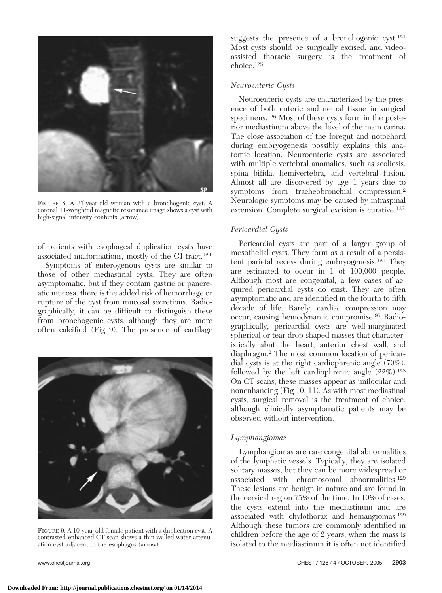

Figure 8. A 37-year-old woman with a bronchogenic cyst. A coronal T1-weighted magnetic resonance image shows a cyst with high-signal intensity contents (arrow).

of patients with esophageal duplication cysts have associated malformations, mostly of the GI tract.124

Symptoms of enterogenous cysts are similar to those of other mediastinal cysts. They are often asymptomatic, but if they contain gastric or pancreatic mucosa, there is the added risk of hemorrhage or rupture of the cyst from mucosal secretions. Radiographically, it can be difficult to distinguish these from bronchogenic cysts, although they are more often calcified (Fig 9). The presence of cartilage



Figure 9. A 10-year-old female patient with a duplication cyst. A contrasted-enhanced CT scan shows a thin-walled water-attenuation cyst adjacent to the esophagus (arrow).

suggests the presence of a bronchogenic cyst.<sup>121</sup> Most cysts should be surgically excised, and videoassisted thoracic surgery is the treatment of choice.125

### *Neuroenteric Cysts*

Neuroenteric cysts are characterized by the presence of both enteric and neural tissue in surgical specimens.126 Most of these cysts form in the posterior mediastinum above the level of the main carina. The close association of the foregut and notochord during embryogenesis possibly explains this anatomic location. Neuroenteric cysts are associated with multiple vertebral anomalies, such as scoliosis, spina bifida, hemivertebra, and vertebral fusion. Almost all are discovered by age 1 years due to symptoms from tracheobronchial compression.<sup>2</sup> Neurologic symptoms may be caused by intraspinal extension. Complete surgical excision is curative.127

## *Pericardial Cysts*

Pericardial cysts are part of a larger group of mesothelial cysts. They form as a result of a persistent parietal recess during embryogenesis.121 They are estimated to occur in 1 of 100,000 people. Although most are congenital, a few cases of acquired pericardial cysts do exist. They are often asymptomatic and are identified in the fourth to fifth decade of life. Rarely, cardiac compression may occur, causing hemodynamic compromise.95 Radiographically, pericardial cysts are well-marginated spherical or tear drop-shaped masses that characteristically abut the heart, anterior chest wall, and diaphragm.2 The most common location of pericardial cysts is at the right cardiophrenic angle (70%), followed by the left cardiophrenic angle  $(22\%)$ .<sup>128</sup> On CT scans, these masses appear as unilocular and nonenhancing (Fig 10, 11). As with most mediastinal cysts, surgical removal is the treatment of choice, although clinically asymptomatic patients may be observed without intervention.

### *Lymphangiomas*

Lymphangiomas are rare congenital abnormalities of the lymphatic vessels. Typically, they are isolated solitary masses, but they can be more widespread or associated with chromosomal abnormalities.129 These lesions are benign in nature and are found in the cervical region 75% of the time. In 10% of cases, the cysts extend into the mediastinum and are associated with chylothorax and hemangiomas.129 Although these tumors are commonly identified in children before the age of 2 years, when the mass is isolated to the mediastinum it is often not identified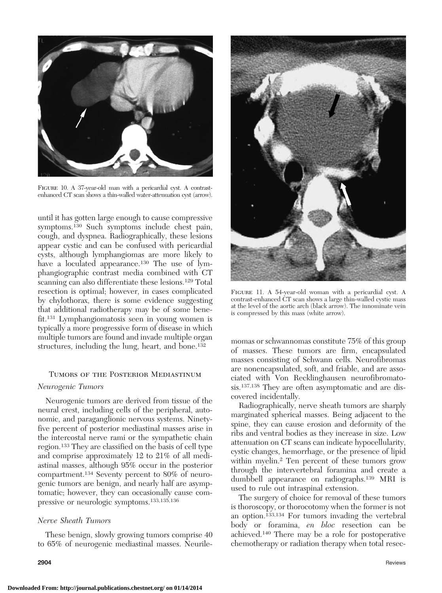

FIGURE 10. A 37-year-old man with a pericardial cyst. A contrastenhanced CT scan shows a thin-walled water-attenuation cyst (arrow).

until it has gotten large enough to cause compressive symptoms.130 Such symptoms include chest pain, cough, and dyspnea. Radiographically, these lesions appear cystic and can be confused with pericardial cysts, although lymphangiomas are more likely to have a loculated appearance.<sup>130</sup> The use of lymphangiographic contrast media combined with CT scanning can also differentiate these lesions.<sup>129</sup> Total resection is optimal; however, in cases complicated by chylothorax, there is some evidence suggesting that additional radiotherapy may be of some benefit.131 Lymphangiomatosis seen in young women is typically a more progressive form of disease in which multiple tumors are found and invade multiple organ structures, including the lung, heart, and bone.<sup>132</sup>

### Tumors of the Posterior Mediastinum

### *Neurogenic Tumors*

Neurogenic tumors are derived from tissue of the neural crest, including cells of the peripheral, autonomic, and paraganglionic nervous systems. Ninetyfive percent of posterior mediastinal masses arise in the intercostal nerve rami or the sympathetic chain region.133 They are classified on the basis of cell type and comprise approximately 12 to 21% of all mediastinal masses, although 95% occur in the posterior compartment.134 Seventy percent to 80% of neurogenic tumors are benign, and nearly half are asymptomatic; however, they can occasionally cause compressive or neurologic symptoms.133,135,136

### *Nerve Sheath Tumors*

These benign, slowly growing tumors comprise 40 to 65% of neurogenic mediastinal masses. Neurile-





Figure 11. A 54-year-old woman with a pericardial cyst. A contrast-enhanced CT scan shows a large thin-walled cystic mass at the level of the aortic arch (black arrow). The innominate vein is compressed by this mass (white arrow).

momas or schwannomas constitute 75% of this group of masses. These tumors are firm, encapsulated masses consisting of Schwann cells. Neurofibromas are nonencapsulated, soft, and friable, and are associated with Von Recklinghausen neurofibromatosis.137,138 They are often asymptomatic and are discovered incidentally.

Radiographically, nerve sheath tumors are sharply marginated spherical masses. Being adjacent to the spine, they can cause erosion and deformity of the ribs and ventral bodies as they increase in size. Low attenuation on CT scans can indicate hypocellularity, cystic changes, hemorrhage, or the presence of lipid within myelin.<sup>2</sup> Ten percent of these tumors grow through the intervertebral foramina and create a dumbbell appearance on radiographs.139 MRI is used to rule out intraspinal extension.

The surgery of choice for removal of these tumors is thoroscopy, or thorocotomy when the former is not an option.133,134 For tumors invading the vertebral body or foramina, *en bloc* resection can be achieved.140 There may be a role for postoperative chemotherapy or radiation therapy when total resec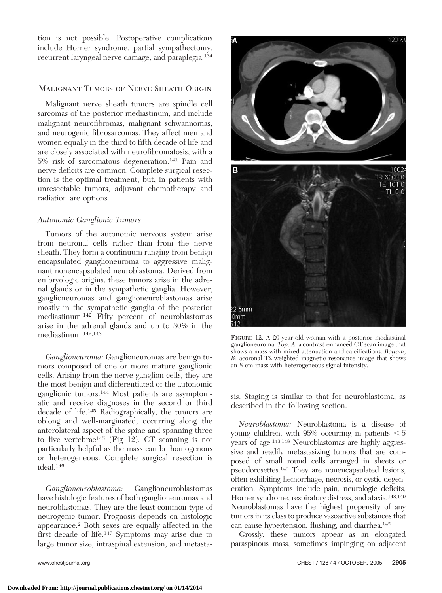tion is not possible. Postoperative complications include Horner syndrome, partial sympathectomy, recurrent laryngeal nerve damage, and paraplegia.134

# Malignant Tumors of Nerve Sheath Origin

Malignant nerve sheath tumors are spindle cell sarcomas of the posterior mediastinum, and include malignant neurofibromas, malignant schwannomas, and neurogenic fibrosarcomas. They affect men and women equally in the third to fifth decade of life and are closely associated with neurofibromatosis, with a 5% risk of sarcomatous degeneration.141 Pain and nerve deficits are common. Complete surgical resection is the optimal treatment, but, in patients with unresectable tumors, adjuvant chemotherapy and radiation are options.

### *Autonomic Ganglionic Tumors*

Tumors of the autonomic nervous system arise from neuronal cells rather than from the nerve sheath. They form a continuum ranging from benign encapsulated ganglioneuroma to aggressive malignant nonencapsulated neuroblastoma. Derived from embryologic origins, these tumors arise in the adrenal glands or in the sympathetic ganglia. However, ganglioneuromas and ganglioneuroblastomas arise mostly in the sympathetic ganglia of the posterior mediastinum.142 Fifty percent of neuroblastomas arise in the adrenal glands and up to 30% in the mediastinum.142,143

*Ganglioneuroma:* Ganglioneuromas are benign tumors composed of one or more mature ganglionic cells. Arising from the nerve ganglion cells, they are the most benign and differentiated of the autonomic ganglionic tumors.144 Most patients are asymptomatic and receive diagnoses in the second or third decade of life.145 Radiographically, the tumors are oblong and well-marginated, occurring along the anterolateral aspect of the spine and spanning three to five vertebrae145 (Fig 12). CT scanning is not particularly helpful as the mass can be homogenous or heterogeneous. Complete surgical resection is ideal.146

*Ganglioneuroblastoma:* Ganglioneuroblastomas have histologic features of both ganglioneuromas and neuroblastomas. They are the least common type of neurogenic tumor. Prognosis depends on histologic appearance.2 Both sexes are equally affected in the first decade of life.147 Symptoms may arise due to large tumor size, intraspinal extension, and metasta-



FIGURE 12. A 20-year-old woman with a posterior mediastinal ganglioneuroma. *Top*, *A*: a contrast-enhanced CT scan image that shows a mass with mixed attenuation and calcifications. *Bottom*, *B*: acoronal T2-weighted magnetic resonance image that shows an 8-cm mass with heterogeneous signal intensity.

sis. Staging is similar to that for neuroblastoma, as described in the following section.

*Neuroblastoma:* Neuroblastoma is a disease of young children, with  $95\%$  occurring in patients  $\leq 5$ years of age.143,148 Neuroblastomas are highly aggressive and readily metastasizing tumors that are composed of small round cells arranged in sheets or pseudorosettes.<sup>149</sup> They are nonencapsulated lesions, often exhibiting hemorrhage, necrosis, or cystic degeneration. Symptoms include pain, neurologic deficits, Horner syndrome, respiratory distress, and ataxia.148,149 Neuroblastomas have the highest propensity of any tumors in its class to produce vasoactive substances that can cause hypertension, flushing, and diarrhea.142

Grossly, these tumors appear as an elongated paraspinous mass, sometimes impinging on adjacent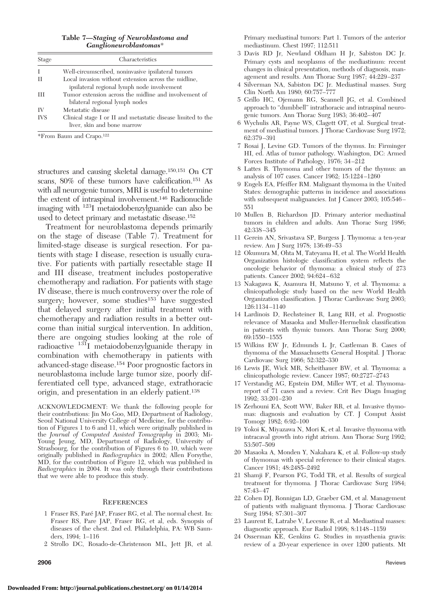**Table 7—***Staging of Neuroblastoma and Ganglioneuroblastomas*\*

| Stage      | Characteristics                                                                                     |
|------------|-----------------------------------------------------------------------------------------------------|
| I          | Well-circumscribed, noninvasive ipsilateral tumors                                                  |
| H          | Local invasion without extension across the midline.<br>ipsilateral regional lymph node involvement |
| Ш          | Tumor extension across the midline and involvement of<br>bilateral regional lymph nodes             |
| IV         | Metastatic disease                                                                                  |
| <b>IVS</b> | Clinical stage I or II and metastatic disease limited to the<br>liver, skin and bone marrow         |

\*From Baum and Crapo.122

structures and causing skeletal damage.150,151 On CT scans, 80% of these tumors have calcification.151 As with all neurogenic tumors, MRI is useful to determine the extent of intraspinal involvement.146 Radionuclide imaging with 123I metaiodobenzylguanide can also be used to detect primary and metastatic disease.152

Treatment for neuroblastoma depends primarily on the stage of disease (Table 7). Treatment for limited-stage disease is surgical resection. For patients with stage I disease, resection is usually curative. For patients with partially resectable stage II and III disease, treatment includes postoperative chemotherapy and radiation. For patients with stage IV disease, there is much controversy over the role of surgery; however, some studies<sup>153</sup> have suggested that delayed surgery after initial treatment with chemotherapy and radiation results in a better outcome than initial surgical intervention. In addition, there are ongoing studies looking at the role of radioactive 131I metaiodobenzylguanide therapy in combination with chemotherapy in patients with advanced-stage disease.154 Poor prognostic factors in neuroblastoma include large tumor size, poorly differentiated cell type, advanced stage, extrathoracic origin, and presentation in an elderly patient.138

ACKNOWLEDGMENT: We thank the following people for their contributions: Jin Mo Goo, MD, Department of Radiology, Seoul National University College of Medicine, for the contribution of Figures 1 to 6 and 11, which were originally published in the *Journal of Computed Assisted Tomography* in 2003; Mi-Young Jeung, MD, Department of Radiology, University of Strasbourg, for the contribution of Figures 6 to 10, which were originally published in *Radiographics* in 2002; Allen Forsythe, MD, for the contribution of Figure 12, which was published in *Radiographics* in 2004. It was only through their contributions that we were able to produce this study.

#### **REFERENCES**

- 1 Fraser RS, Pare´ JAP, Fraser RG, et al. The normal chest. In: Fraser RS, Pare JAP, Fraser RG, et al, eds. Synopsis of diseases of the chest. 2nd ed. Philadelphia, PA: WB Saunders, 1994; 1–116
- 2 Strollo DC, Rosado-de-Christenson ML, Jett JR, et al.

Primary mediastinal tumors: Part 1. Tumors of the anterior mediastinum. Chest 1997; 112:511

- 3 Davis RD Jr, Newland Oldham H Jr, Sabiston DC Jr. Primary cysts and neoplasms of the mediastinum: recent changes in clinical presentation, methods of diagnosis, management and results. Ann Thorac Surg 1987; 44:229 –237
- 4 Silverman NA, Sabiston DC Jr. Mediastinal masses. Surg Clin North Am 1980; 60:757–777
- 5 Grillo HC, Ojemann RG, Scannell JG, et al. Combined approach to "dumbbell" intrathoracic and intraspinal neurogenic tumors. Ann Thorac Surg 1983; 36:402– 407
- 6 Wychulis AR, Payne WS, Clagett OT, et al. Surgical treatment of mediastinal tumors. J Thorac Cardiovasc Surg 1972; 62:379 –391
- 7 Rosai J, Levine GD. Tumors of the thymus. In: Firminger HI, ed. Atlas of tumor pathology. Washington, DC: Armed Forces Institute of Pathology, 1976; 34 –212
- 8 Lattes R. Thymoma and other tumors of the thymus: an analysis of 107 cases. Cancer 1962; 15:1224 –1260
- 9 Engels EA, Pfeiffer RM. Malignant thymoma in the United States: demographic patterns in incidence and associations with subsequent malignancies. Int J Cancer 2003; 105:546-551
- 10 Mullen B, Richardson JD. Primary anterior mediastinal tumors in children and adults. Ann Thorac Surg 1986; 42:338 –345
- 11 Gerein AN, Srivastava SP, Burgess J. Thymoma: a ten-year review. Am J Surg 1978; 136:49 –53
- 12 Okumura M, Ohta M, Tateyama H, et al. The World Health Organization histologic classification system reflects the oncologic behavior of thymoma: a clinical study of 273 patients. Cancer 2002; 94:624 – 632
- 13 Nakagawa K, Asamura H, Matsuno Y, et al. Thymoma: a clinicopathologic study based on the new World Health Organization classification. J Thorac Cardiovasc Surg 2003; 126:1134 –1140
- 14 Lardinois D, Rechsteiner R, Lang RH, et al. Prognostic relevance of Masaoka and Muller-Hermelink classification in patients with thymic tumors. Ann Thorac Surg 2000; 69:1550 –1555
- 15 Wilkins EW Jr, Edmunds L Jr, Castleman B. Cases of thymoma of the Massachusetts General Hospital. J Thorac Cardiovasc Surg 1966; 52:322–330
- 16 Lewis JE, Wick MR, Scheithauer BW, et al. Thymoma: a clinicopathologic review. Cancer 1987; 60:2727–2743
- 17 Verstandig AG, Epstein DM, Miller WT, et al. Thymomareport of 71 cases and a review. Crit Rev Diagn Imaging 1992; 33:201–230
- 18 Zerhouni EA, Scott WW, Baker RR, et al. Invasive thymomas: diagnosis and evaluation by CT. J Comput Assist Tomogr 1982; 6:92–100
- 19 Yokoi K, Miyazawa N, Mori K, et al. Invasive thymoma with intracaval growth into right atrium. Ann Thorac Surg 1992; 53:507–509
- 20 Masaoka A, Monden Y, Nakahara K, et al. Follow-up study of thymomas with special reference to their clinical stages. Cancer 1981; 48:2485–2492
- 21 Shamji F, Pearson FG, Todd TR, et al. Results of surgical treatment for thymoma. J Thorac Cardiovasc Surg 1984; 87:43– 47
- 22 Cohen DJ, Ronnigan LD, Graeber GM, et al. Management of patients with malignant thymoma. J Thorac Cardiovasc Surg 1984; 87:301–307
- 23 Laurent E, Latrabe V, Lecesne R, et al. Mediastinal masses: diagnostic approach. Eur Radiol 1998; 8:1148 –1159
- 24 Osserman KE, Genkins G. Studies in myasthenia gravis: review of a 20-year experience in over 1200 patients. Mt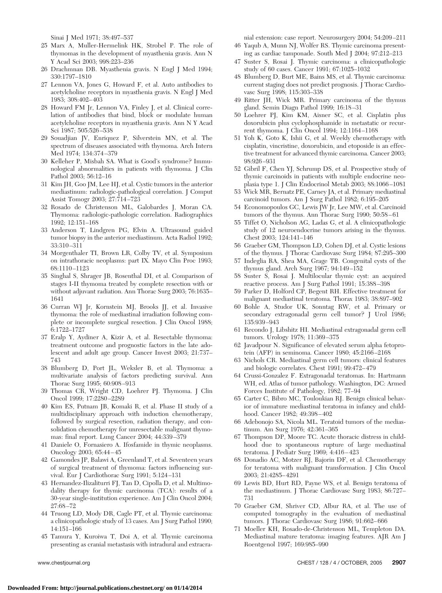Sinai J Med 1971; 38:497–537

- 25 Marx A, Muller-Hermelink HK, Strobel P. The role of thymomas in the development of myasthenia gravis. Ann N Y Acad Sci 2003; 998:223–236
- 26 Drachmnan DB. Myasthenia gravis. N Engl J Med 1994; 330:1797–1810
- 27 Lennon VA, Jones G, Howard F, et al. Auto antibodies to acetylcholine receptors in myasthenia gravis. N Engl J Med 1983; 308:402– 403
- 28 Howard FM Jr, Lennon VA, Finley J, et al. Clinical correlation of antibodies that bind, block or modulate human acetylcholine receptors in myasthenia gravis. Ann N Y Acad Sci 1987; 505:526 –538
- 29 Souadjian JV, Enriquez P, Silverstein MN, et al. The spectrum of diseases associated with thymoma. Arch Intern Med 1974; 134:374 –379
- 30 Kelleher P, Misbah SA. What is Good's syndrome? Immunological abnormalities in patients with thymoma. J Clin Pathol 2003; 56:12–16
- 31 Kim JH, Goo JM, Lee HJ, et al. Cystic tumors in the anterior mediastinum: radiologic-pathological correlation. J Comput Assist Tomogr 2003; 27:714 –723
- 32 Rosado de Christenson ML, Galobardes J, Moran CA. Thymoma: radiologic-pathologic correlation. Radiographics 1992; 12:151–168
- 33 Anderson T, Lindgren PG, Elvin A. Ultrasound guided tumor biopsy in the anterior mediastinum. Acta Radiol 1992; 33:310 –311
- 34 Morgenthaler TI, Brown LR, Colby TV, et al. Symposium on intrathoracic neoplasms: part IX. Mayo Clin Proc 1993; 68:1110 –1123
- 35 Singhal S, Shrager JB, Rosenthal DI, et al. Comparison of stages I-II thymoma treated by complete resection with or without adjuvant radiation. Ann Thorac Surg 2003; 76:1635– 1641
- 36 Curran WJ Jr, Kornstein MJ, Brooks JJ, et al. Invasive thymoma: the role of mediastinal irradiation following complete or incomplete surgical resection. J Clin Oncol 1988; 6:1722–1727
- 37 Eralp Y, Aydiner A, Kizir A, et al. Resectable thymoma: treatment outcome and prognostic factors in the late adolescent and adult age group. Cancer Invest 2003; 21:737– 743
- 38 Blumberg D, Port JL, Weksler B, et al. Thymoma: a multivariate analysis of factors predicting survival. Ann Thorac Surg 1995; 60:908 –913
- 39 Thomas CR, Wright CD, Loehrer PJ. Thymoma. J Clin Oncol 1999; 17:2280 –2289
- 40 Kim ES, Putnam JB, Komaki R, et al. Phase II study of a multidisciplinary approach with induction chemotherapy, followed by surgical resection, radiation therapy, and consolidation chemotherapy for unresectable malignant thymomas: final report. Lung Cancer 2004; 44:339 –379
- 41 Daniele O, Fornasiero A. Ifosfamide in thymic neoplasms. Oncology 2003; 65:44 – 45
- 42 Gamondes JP, Balawi A, Greenland T, et al. Seventeen years of surgical treatment of thymoma: factors influencing survival. Eur J Cardiothorac Surg 1991; 5:124 –131
- 43 Hernandez-Ilizaliturri FJ, Tan D, Cipolla D, et al. Multimodality therapy for thymic carcinoma (TCA): results of a 30-year single-institution experience. Am J Clin Oncol 2004; 27:68 –72
- 44 Truong LD, Mody DR, Cagle PT, et al. Thymic carcinoma: a clinicopathologic study of 13 cases. Am J Surg Pathol 1990; 14:151–166
- 45 Tamura Y, Kuroiwa T, Doi A, et al. Thymic carcinoma presenting as cranial metastasis with intradural and extracra-

nial extension: case report. Neurosurgery 2004; 54:209 –211

- 46 Yaqub A, Munn NJ, Wolfer RS. Thymic carcinoma presenting as cardiac tamponade. South Med J 2004; 97:212–213
- 47 Suster S, Rosai J. Thymic carcinoma: a clinicopathologic study of 60 cases. Cancer 1991; 67:1025–1032
- 48 Blumberg D, Burt ME, Bains MS, et al. Thymic carcinoma: current staging does not predict prognosis. J Thorac Cardiovasc Surg 1998; 115:303–338
- 49 Ritter JH, Wick MR. Primary carcinoma of the thymus gland. Semin Diagn Pathol 1999; 16:18 –31
- 50 Loehrer PJ, Kim KM, Aisner SC, et al. Cisplatin plus doxorubicin plus cyclophosphamide in metastatic or recurrent thymoma. J Clin Oncol 1994; 12:1164 –1168
- 51 Yoh K, Goto K, Ishii G, et al. Weekly chemotherapy with cisplatin, vincristine, doxorubicin, and etoposide is an effective treatment for advanced thymic carcinoma. Cancer 2003; 98:926 –931
- 52 Gibril F, Chen YJ, Schrump DS, et al. Prospective study of thymic carcinoids in patients with multiple endocrine neoplasia type 1. J Clin Endocrinol Metab 2003; 88:1066 –1081
- 53 Wick MR, Bernatz PE, Carney JA, et al. Primary mediastinal carcinoid tumors. Am J Surg Pathol 1982; 6:195–205
- 54 Economopoulos GC, Lewis JW Jr, Lee MW, et al. Carcinoid tumors of the thymus. Ann Thorac Surg 1990; 50:58-61
- 55 Tiffet O, Nicholson AG, Ladas G, et al. A clinicopathologic study of 12 neuroendocrine tumors arising in the thymus. Chest 2003; 124:141–146
- 56 Graeber GM, Thompson LD, Cohen DJ, et al. Cystic lesions of the thymus. J Thorac Cardiovasc Surg 1984; 87:295–300
- 57 Indeglia RA, Shea MA, Grage TB. Congenital cysts of the thymus gland. Arch Surg 1967; 94:149 –152
- 58 Suster S, Rosai J. Multilocular thymic cyst: an acquired reactive process. Am J Surg Pathol 1991; 15:388 –398
- 59 Parker D, Holford CP, Begent RH. Effective treatment for malignant mediastinal teratoma. Thorax 1983; 38:897–902
- 60 Bohle A, Studor UK, Sonntag RW, et al. Primary or secondary extragonadal germ cell tumor? J Urol 1986; 135:939 –943
- 61 Recondo J, Libshitz HI. Mediastinal extragonadal germ cell tumors. Urology 1978; 11:369 –375
- 62 Javadpour N. Significance of elevated serum alpha fetoprotein (AFP) in seminoma. Cancer 1980; 45:2166 –2168
- 63 Nichols CR. Mediastinal germ cell tumors: clinical features and biologic correlates. Chest 1991; 99:472– 479
- 64 Crussi-Gonzalez F. Extragonadal teratomas. In: Hartmann WH, ed. Atlas of tumor pathology. Washington, DC: Armed Forces Institute of Pathology, 1982; 77–94
- 65 Carter C, Bibro MC, Touloukian RJ. Benign clinical behavior of immature mediastinal teratoma in infancy and childhood. Cancer 1982; 49:398 – 402
- 66 Adebonojo SA, Nicola ML. Teratoid tumors of the mediastinum. Am Surg 1976; 42:361–365
- 67 Thompson DP, Moore TC. Acute thoracic distress in childhood due to spontaneous rupture of large mediastinal teratoma. J Pediatr Surg 1969; 4:416 – 423
- 68 Donadio AC, Motzer RJ, Bajorin DF, et al. Chemotherapy for teratoma with malignant transformation. J Clin Oncol 2003; 21:4285– 4291
- 69 Lewis BD, Hurt RD, Payne WS, et al. Benign teratoma of the mediastinum. J Thorac Cardiovasc Surg 1983; 86:727– 731
- 70 Graeber GM, Shriver CD, Albur RA, et al. The use of computed tomography in the evaluation of mediastinal tumors. J Thorac Cardiovasc Surg 1986; 91:662-666
- 71 Moeller KH, Rosado-de-Christenson ML, Templeton DA. Mediastinal mature teratoma: imaging features. AJR Am J Roentgenol 1997; 169:985–990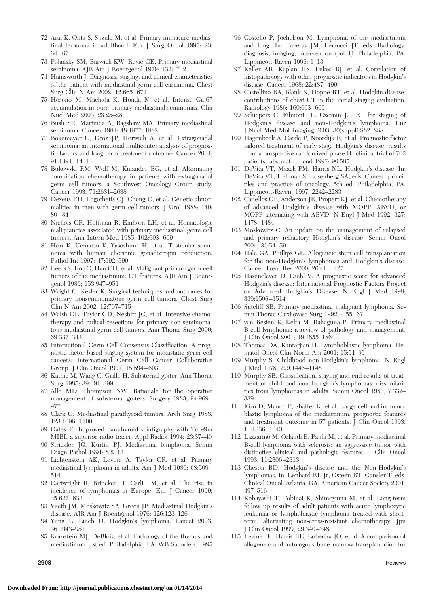- 72 Arai K, Ohta S, Suzuki M, et al. Primary immature mediastinal teratoma in adulthood. Eur J Surg Oncol 1997; 23: 64 – 67
- 73 Polansky SM, Barwick KW, Revie CE. Primary mediastinal seminoma. AJR Am J Roentgenol 1979; 132:17–21
- 74 Hainsworth J. Diagnosis, staging, and clinical characteristics of the patient with mediastinal germ cell carcinoma. Chest Surg Clin N Am 2002; 12:665– 672
- 75 Hosono M, Machida K, Honda N, et al. Intense Ga-67 accumulation in pure primary mediastinal seminomas. Clin Nucl Med 2003; 28:25–28
- 76 Bush SE, Martinez A, Bagshaw MA. Primary mediastinal seminoma. Cancer 1981; 48:1877–1882
- 77 Bokemeyer C, Droz JP, Horwich A, et al. Extragonadal seminoma: an international multicenter analysis of prognostic factors and long term treatment outcome. Cancer 2001; 91:1394 –1401
- 78 Bukowski RM, Wolf M, Kulander BG, et al. Alternating combination chemotherapy in patients with extragonadal germ cell tumors: a Southwest Oncology Group study. Cancer 1993; 71:2631–2638
- 79 Dexeus FH, Logothetis CJ, Chong C, et al. Genetic abnormalities in men with germ cell tumors. J Urol 1988; 140: 80 – 84
- 80 Nichols CR, Hoffman R, Einhorn LH, et al. Hematologic malignancies associated with primary mediastinal germ cell tumors. Ann Intern Med 1985; 102:603– 609
- 81 Hori K, Uematsu K, Yasoshima H, et al. Testicular seminoma with human chorionic gonadotropin production. Pathol Int 1997; 47:592–599
- 82 Lee KS, Im JG, Han CH, et al. Malignant primary germ cell tumors of the mediastinum: CT features. AJR Am J Roentgenol 1989; 153:947–951
- 83 Wright C, Kesler K. Surgical techniques and outcomes for primary nonseminomatous germ cell tumors. Chest Surg Clin N Am 2002; 12:707–715
- 84 Walsh GL, Taylor GD, Nesbitt JC, et al. Intensive chemotherapy and radical resections for primary non-seminomatous mediastinal germ cell tumors. Ann Thorac Surg 2000; 69:337–343
- 85 International Germ Cell Consensus Classification. A prognostic factor-based staging system for metastatic germ cell cancers: International Germ Cell Cancer Collaborative Group. J Clin Oncol 1997; 15:594 – 603
- 86 Kathic M, Wang C, Grillo H. Substernal goiter. Ann Thorac Surg 1985; 39:391–399
- 87 Allo MD, Thompson NW. Rationale for the operative management of substernal goiters. Surgery 1983; 94:969 – 977
- 88 Clark O. Mediastinal parathyroid tumors. Arch Surg 1988; 123:1096 –1100
- 89 Oates E. Improved parathyroid scintigraphy with Tc 99m MIBI, a superior radio tracer. Appl Radiol 1994; 23:37– 40
- 90 Strickler JG, Kurtin PJ. Mediastinal lymphoma. Semin Diagn Pathol 1991; 8:2–13
- 91 Lichtenstein AK, Levine A, Taylor CR, et al. Primary mediastinal lymphoma in adults. Am J Med 1980; 68:509 – 514
- 92 Cartwright R, Brincker H, Carli PM, et al. The rise in incidence of lymphomas in Europe. Eur J Cancer 1999; 35:627– 633
- 93 Vaeth JM, Moskowitz SA, Green JP. Mediastinal Hodgkin's disease. AJR Am J Roentgenol 1976; 126:123–126
- 94 Yung L, Linch D. Hodgkin's lymphoma. Lancet 2003; 361:943–951
- 95 Kornstein MJ, DeBlois, et al. Pathology of the thymus and mediastinum. 1st ed. Philadelphia, PA: WB Saunders, 1995
- 
- 96 Costello P, Jochelson M. Lymphoma of the mediastinum and lung. In: Taveras JM, Ferrucci JT, eds. Radiology: diagnosis, imaging, intervention (vol 1). Philadelphia, PA: Lippincott-Raven 1996; 1–13
- 97 Keller AR, Kaplan HS, Lukes RJ, et al. Correlation of histopathology with other prognostic indicators in Hodgkin's disease. Cancer 1968; 22:487– 499
- 98 Castellino RA, Blank N, Hoppe RT, et al. Hodgkin disease: contributions of chest CT in the initial staging evaluation. Radiology 1986; 160:603– 605
- 99 Schiepers C. Filmont JE. Czernin J. PET for staging of Hodgkin's disease and non-Hodgkin's lymphoma. Eur J Nucl Med Mol Imaging 2003; 30(suppl):S82–S88
- 100 Hagenbeek A, Carde P, Noordijk E, et al. Prognostic factor tailored treatment of early stage Hodgkin's disease: results from a prospective randomized phase III clinical trial of 762 patients [abstract]. Blood 1997; 90:585
- 101 DeVita VT, Maack PM, Harris NL. Hodgkin's disease. In: DeVita VT, Hellman S, Rosenberg SA, eds. Cancer: principles and practice of oncology. 5th ed. Philadelphia, PA: Lippincott-Raven, 1997; 2242–2283
- 102 Canellos GP, Anderson JR, Propert KJ, et al. Chemotherapy of advanced Hodgkin's disease with MOPP, ABVD, or MOPP alternating with ABVD. N Engl J Med 1992; 327: 1478 –1484
- 103 Moskowitz C. An update on the management of relapsed and primary refractory Hodgkin's disease. Semin Oncol 2004; 31:54 –59
- 104 Hale GA, Phillips GL. Allogeneic stem cell transplantation for the non-Hodgkin's lymphomas and Hodgkin's disease. Cancer Treat Rev 2000; 26:411– 427
- 105 Hasenclever D, Diehl V. A prognostic score for advanced Hodgkin's disease: International Prognostic Factors Project on Advanced Hodgkin's Disease. N Engl J Med 1998; 339:1506 –1514
- 106 Sutcliff SB. Primary mediastinal malignant lymphoma. Semin Thorac Cardiovasc Surg 1992; 4:55– 67
- 107 van Besien K, Kelta M, Bahaguna P. Primary mediastinal B-cell lymphoma: a review of pathology and management. J Clin Oncol 2001; 19:1855–1864
- 108 Thomas DA, Kantarjian H. Lymphoblastic lymphoma. Hematol Oncol Clin North Am 2001; 15:51–95
- 109 Murphy S. Childhood non-Hodgkin's lymphoma. N Engl J Med 1978; 299:1446 –1148
- 110 Murphy SB. Classification, staging and end results of treatment of childhood non-Hodgkin's lymphomas: dissimilarities from lymphomas in adults. Semin Oncol 1980; 7:332– 339
- 111 Kirn D, Mauch P, Shaffer K, et al. Large-cell and immunoblastic lymphoma of the mediastinum: prognostic features and treatment outcome in 57 patients. J Clin Oncol 1993; 11:1336 –1343
- 112 Lazzarino M, Orlandi E, Paulli M, et al. Primary mediastinal B-cell lymphoma with sclerosis: an aggressive tumor with distinctive clinical and pathologic features. J Clin Oncol 1993; 11:2306 –2313
- 113 Cheson BD. Hodgkin's disease and the Non-Hodgkin's lymphomas. In: Lenhard RE Jr, Osteen RT, Gansler T, eds. Clinical Oncol. Atlanta, GA: American Cancer Society 2001; 497–516
- 114 Kobayashi T, Tobinai K, Shimoyama M, et al. Long-term follow up results of adult patients with acute lymphocytic leukemia or lymphoblastic lymphoma treated with shortterm, alternating non-cross-resistant chemotherapy. Jpn J Clin Oncol 1999; 29:340 –348
- 115 Levine JE, Harris RE, Loberiza JO, et al. A comparison of allogeneic and autologous bone marrow transplantation for